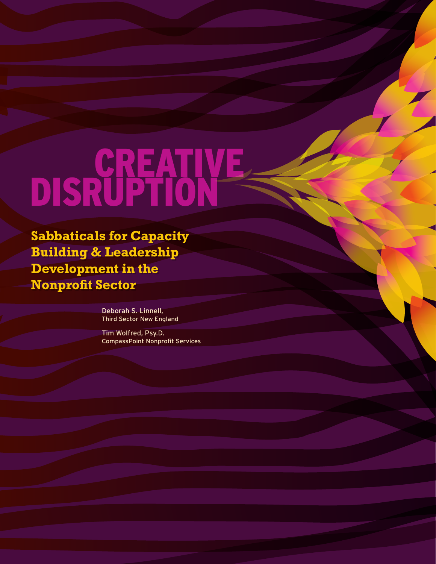# CREATIVE Disruption

**Sabbaticals for Capacity Building & Leadership Development in the Nonprofit Sector**

> Deborah S. Linnell, Third Sector New England

Tim Wolfred, Psy.D. CompassPoint Nonprofit Services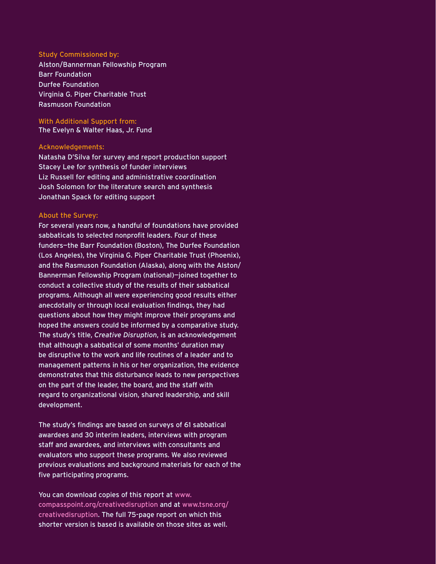#### Study Commissioned by:

Alston/Bannerman Fellowship Program Barr Foundation Durfee Foundation Virginia G. Piper Charitable Trust Rasmuson Foundation

With Additional Support from: The Evelyn & Walter Haas, Jr. Fund

#### Acknowledgements:

Natasha D'Silva for survey and report production support Stacey Lee for synthesis of funder interviews Liz Russell for editing and administrative coordination Josh Solomon for the literature search and synthesis Jonathan Spack for editing support

#### About the Survey:

For several years now, a handful of foundations have provided sabbaticals to selected nonprofit leaders. Four of these funders—the Barr Foundation (Boston), The Durfee Foundation (Los Angeles), the Virginia G. Piper Charitable Trust (Phoenix), and the Rasmuson Foundation (Alaska), along with the Alston/ Bannerman Fellowship Program (national)—joined together to conduct a collective study of the results of their sabbatical programs. Although all were experiencing good results either anecdotally or through local evaluation findings, they had questions about how they might improve their programs and hoped the answers could be informed by a comparative study. The study's title, *Creative Disruption*, is an acknowledgement that although a sabbatical of some months' duration may be disruptive to the work and life routines of a leader and to management patterns in his or her organization, the evidence demonstrates that this disturbance leads to new perspectives on the part of the leader, the board, and the staff with regard to organizational vision, shared leadership, and skill development.

The study's findings are based on surveys of 61 sabbatical awardees and 30 interim leaders, interviews with program staff and awardees, and interviews with consultants and evaluators who support these programs. We also reviewed previous evaluations and background materials for each of the five participating programs.

You can download copies of this report at www. compasspoint.org/creativedisruption and at www.tsne.org/ creativedisruption. The full 75-page report on which this shorter version is based is available on those sites as well.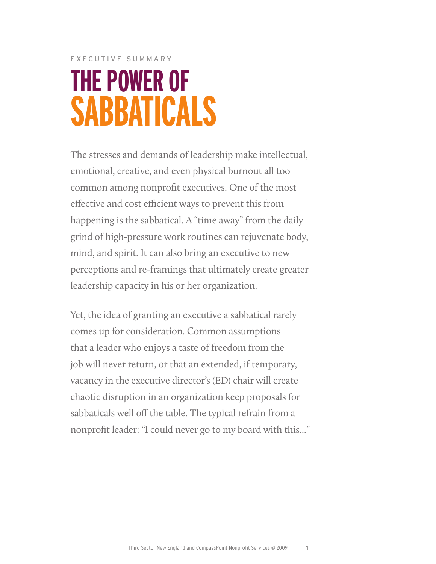## EXECUTIVE SUMMARY **The Power of Sabbaticals**

The stresses and demands of leadership make intellectual, emotional, creative, and even physical burnout all too common among nonprofit executives. One of the most effective and cost efficient ways to prevent this from happening is the sabbatical. A "time away" from the daily grind of high-pressure work routines can rejuvenate body, mind, and spirit. It can also bring an executive to new perceptions and re-framings that ultimately create greater leadership capacity in his or her organization.

Yet, the idea of granting an executive a sabbatical rarely comes up for consideration. Common assumptions that a leader who enjoys a taste of freedom from the job will never return, or that an extended, if temporary, vacancy in the executive director's (ED) chair will create chaotic disruption in an organization keep proposals for sabbaticals well off the table. The typical refrain from a nonprofit leader: "I could never go to my board with this..."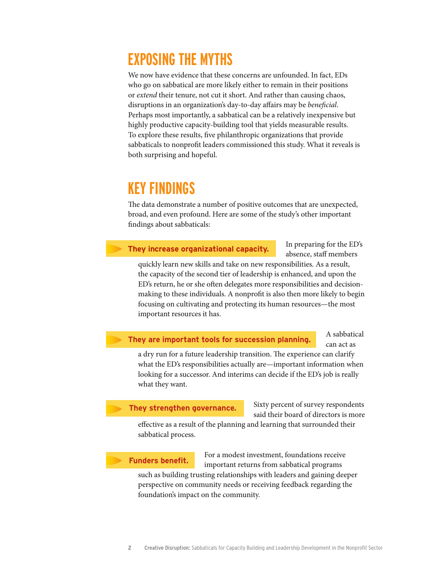### **Exposing the Myths**

We now have evidence that these concerns are unfounded. In fact, EDs who go on sabbatical are more likely either to remain in their positions or *extend* their tenure, not cut it short. And rather than causing chaos, disruptions in an organization's day-to-day affairs may be *beneficial*. Perhaps most importantly, a sabbatical can be a relatively inexpensive but highly productive capacity-building tool that yields measurable results. To explore these results, five philanthropic organizations that provide sabbaticals to nonprofit leaders commissioned this study. What it reveals is both surprising and hopeful.

### **Key Findings**

The data demonstrate a number of positive outcomes that are unexpected, broad, and even profound. Here are some of the study's other important findings about sabbaticals:

#### **They increase organizational capacity.**

In preparing for the ED's absence, staff members

quickly learn new skills and take on new responsibilities. As a result, the capacity of the second tier of leadership is enhanced, and upon the ED's return, he or she often delegates more responsibilities and decisionmaking to these individuals. A nonprofit is also then more likely to begin focusing on cultivating and protecting its human resources—the most important resources it has.

#### **They are important tools for succession planning.**

A sabbatical can act as

a dry run for a future leadership transition. The experience can clarify what the ED's responsibilities actually are—important information when looking for a successor. And interims can decide if the ED's job is really what they want.

#### **They strengthen governance.**

Sixty percent of survey respondents said their board of directors is more

effective as a result of the planning and learning that surrounded their sabbatical process.

#### **Funders benefit.**

For a modest investment, foundations receive important returns from sabbatical programs such as building trusting relationships with leaders and gaining deeper perspective on community needs or receiving feedback regarding the foundation's impact on the community.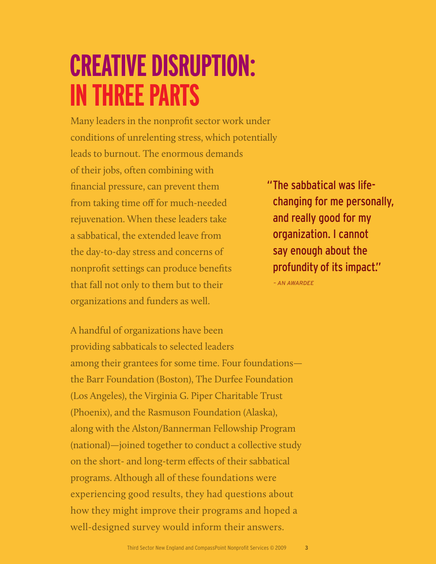## **CREATIVE DISRUPTION: In Three Parts**

Many leaders in the nonprofit sector work under conditions of unrelenting stress, which potentially leads to burnout. The enormous demands of their jobs, often combining with financial pressure, can prevent them from taking time off for much-needed rejuvenation. When these leaders take a sabbatical, the extended leave from the day-to-day stress and concerns of nonprofit settings can produce benefits that fall not only to them but to their organizations and funders as well.

"The sabbatical was lifechanging for me personally, and really good for my organization. I cannot say enough about the profundity of its impact."  *– An Awardee*

A handful of organizations have been providing sabbaticals to selected leaders among their grantees for some time. Four foundations the Barr Foundation (Boston), The Durfee Foundation (Los Angeles), the Virginia G. Piper Charitable Trust (Phoenix), and the Rasmuson Foundation (Alaska), along with the Alston/Bannerman Fellowship Program (national)—joined together to conduct a collective study on the short- and long-term effects of their sabbatical programs. Although all of these foundations were experiencing good results, they had questions about how they might improve their programs and hoped a well-designed survey would inform their answers.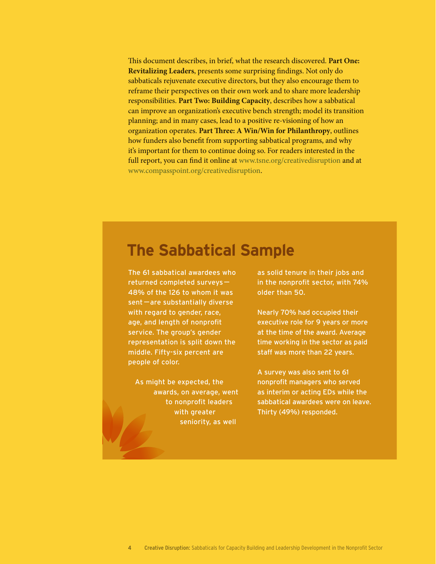This document describes, in brief, what the research discovered. **Part One: Revitalizing Leaders**, presents some surprising findings. Not only do sabbaticals rejuvenate executive directors, but they also encourage them to reframe their perspectives on their own work and to share more leadership responsibilities. **Part Two: Building Capacity**, describes how a sabbatical can improve an organization's executive bench strength; model its transition planning; and in many cases, lead to a positive re-visioning of how an organization operates. **Part Three: A Win/Win for Philanthropy**, outlines how funders also benefit from supporting sabbatical programs, and why it's important for them to continue doing so. For readers interested in the full report, you can find it online at www.tsne.org/creativedisruption and at www.compasspoint.org/creativedisruption.

### **The Sabbatical Sample**

The 61 sabbatical awardees who returned completed surveys— 48% of the 126 to whom it was sent—are substantially diverse with regard to gender, race, age, and length of nonprofit service. The group's gender representation is split down the middle. Fifty-six percent are people of color.

As might be expected, the awards, on average, went to nonprofit leaders with greater seniority, as well

as solid tenure in their jobs and in the nonprofit sector, with 74% older than 50.

Nearly 70% had occupied their executive role for 9 years or more at the time of the award. Average time working in the sector as paid staff was more than 22 years.

A survey was also sent to 61 nonprofit managers who served as interim or acting EDs while the sabbatical awardees were on leave. Thirty (49%) responded.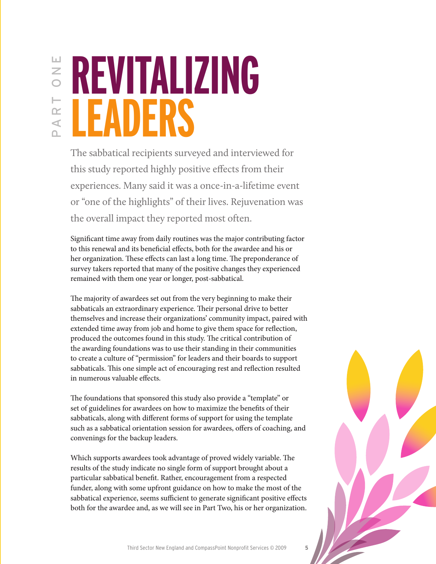$\overline{z}$ ⊢  $\propto$  $\triangleleft$ 

## **REVITALIZING LEADERS** PART ONE

The sabbatical recipients surveyed and interviewed for this study reported highly positive effects from their experiences. Many said it was a once-in-a-lifetime event or "one of the highlights" of their lives. Rejuvenation was the overall impact they reported most often.

Significant time away from daily routines was the major contributing factor to this renewal and its beneficial effects, both for the awardee and his or her organization. These effects can last a long time. The preponderance of survey takers reported that many of the positive changes they experienced remained with them one year or longer, post-sabbatical.

The majority of awardees set out from the very beginning to make their sabbaticals an extraordinary experience. Their personal drive to better themselves and increase their organizations' community impact, paired with extended time away from job and home to give them space for reflection, produced the outcomes found in this study. The critical contribution of the awarding foundations was to use their standing in their communities to create a culture of "permission" for leaders and their boards to support sabbaticals. This one simple act of encouraging rest and reflection resulted in numerous valuable effects.

The foundations that sponsored this study also provide a "template" or set of guidelines for awardees on how to maximize the benefits of their sabbaticals, along with different forms of support for using the template such as a sabbatical orientation session for awardees, offers of coaching, and convenings for the backup leaders.

Which supports awardees took advantage of proved widely variable. The results of the study indicate no single form of support brought about a particular sabbatical benefit. Rather, encouragement from a respected funder, along with some upfront guidance on how to make the most of the sabbatical experience, seems sufficient to generate significant positive effects both for the awardee and, as we will see in Part Two, his or her organization.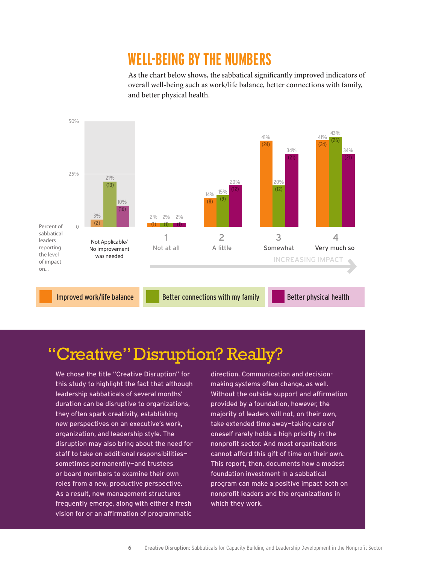### **Well-being by the Numbers**

As the chart below shows, the sabbatical significantly improved indicators of overall well-being such as work/life balance, better connections with family, and better physical health.



### "Creative" Disruption? Really?

We chose the title "Creative Disruption" for this study to highlight the fact that although leadership sabbaticals of several months' duration can be disruptive to organizations, they often spark creativity, establishing new perspectives on an executive's work, organization, and leadership style. The disruption may also bring about the need for staff to take on additional responsibilities sometimes permanently—and trustees or board members to examine their own roles from a new, productive perspective. As a result, new management structures frequently emerge, along with either a fresh vision for or an affirmation of programmatic

direction. Communication and decisionmaking systems often change, as well. Without the outside support and affirmation provided by a foundation, however, the majority of leaders will not, on their own, take extended time away—taking care of oneself rarely holds a high priority in the nonprofit sector. And most organizations cannot afford this gift of time on their own. This report, then, documents how a modest foundation investment in a sabbatical program can make a positive impact both on nonprofit leaders and the organizations in which they work.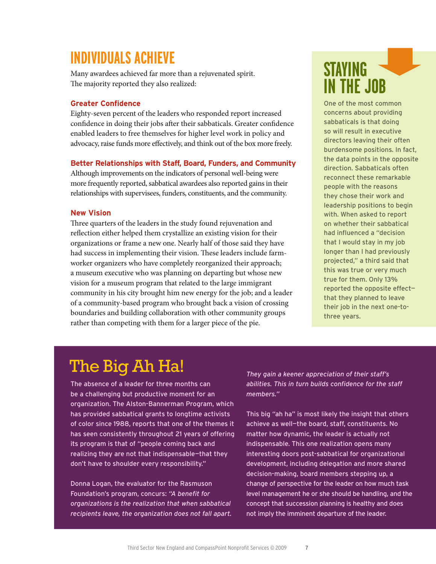### **Individuals Achieve**

Many awardees achieved far more than a rejuvenated spirit. The majority reported they also realized:

#### **Greater Confidence**

Eighty-seven percent of the leaders who responded report increased confidence in doing their jobs after their sabbaticals. Greater confidence enabled leaders to free themselves for higher level work in policy and advocacy, raise funds more effectively, and think out of the box more freely.

#### **Better Relationships with Staff, Board, Funders, and Community**

Although improvements on the indicators of personal well-being were more frequently reported, sabbatical awardees also reported gains in their relationships with supervisees, funders, constituents, and the community.

#### **New Vision**

Three quarters of the leaders in the study found rejuvenation and reflection either helped them crystallize an existing vision for their organizations or frame a new one. Nearly half of those said they have had success in implementing their vision. These leaders include farmworker organizers who have completely reorganized their approach; a museum executive who was planning on departing but whose new vision for a museum program that related to the large immigrant community in his city brought him new energy for the job; and a leader of a community-based program who brought back a vision of crossing boundaries and building collaboration with other community groups rather than competing with them for a larger piece of the pie.

### **Staying in the Job**

One of the most common concerns about providing sabbaticals is that doing so will result in executive directors leaving their often burdensome positions. In fact, the data points in the opposite direction. Sabbaticals often reconnect these remarkable people with the reasons they chose their work and leadership positions to begin with. When asked to report on whether their sabbatical had influenced a "decision that I would stay in my job longer than I had previously projected," a third said that this was true or very much true for them. Only 13% reported the opposite effect that they planned to leave their job in the next one-tothree years.

### The Big Ah Ha!

The absence of a leader for three months can be a challenging but productive moment for an organization. The Alston-Bannerman Program, which has provided sabbatical grants to longtime activists of color since 1988, reports that one of the themes it has seen consistently throughout 21 years of offering its program is that of "people coming back and realizing they are not that indispensable—that they don't have to shoulder every responsibility."

Donna Logan, the evaluator for the Rasmuson Foundation's program, concurs: *"A benefit for organizations is the realization that when sabbatical recipients leave, the organization does not fall apart.* 

*They gain a keener appreciation of their staff's abilities. This in turn builds confidence for the staff members."*

This big "ah ha" is most likely the insight that others achieve as well—the board, staff, constituents. No matter how dynamic, the leader is actually not indispensable. This one realization opens many interesting doors post-sabbatical for organizational development, including delegation and more shared decision-making, board members stepping up, a change of perspective for the leader on how much task level management he or she should be handling, and the concept that succession planning is healthy and does not imply the imminent departure of the leader.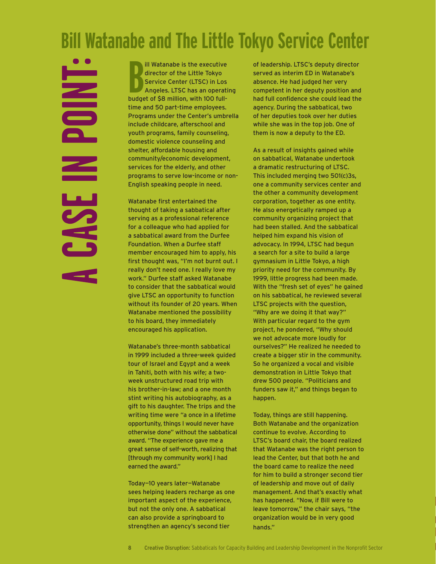### **Bill Watanabe and The Little Tokyo Service Center**

**NICO**  $\mathbf{z}$ CASE

**B** budget of \$8 million, with 100 fullill Watanabe is the executive director of the Little Tokyo Service Center (LTSC) in Los Angeles. LTSC has an operating time and 50 part-time employees. Programs under the Center's umbrella include childcare, afterschool and youth programs, family counseling, domestic violence counseling and shelter, affordable housing and community/economic development, services for the elderly, and other programs to serve low-income or non-English speaking people in need.

Watanabe first entertained the thought of taking a sabbatical after serving as a professional reference for a colleague who had applied for a sabbatical award from the Durfee Foundation. When a Durfee staff member encouraged him to apply, his first thought was, "I'm not burnt out. I really don't need one. I really love my work." Durfee staff asked Watanabe to consider that the sabbatical would give LTSC an opportunity to function without its founder of 20 years. When Watanabe mentioned the possibility to his board, they immediately encouraged his application.

Watanabe's three-month sabbatical in 1999 included a three-week guided tour of Israel and Egypt and a week in Tahiti, both with his wife; a twoweek unstructured road trip with his brother-in-law; and a one month stint writing his autobiography, as a gift to his daughter. The trips and the writing time were "a once in a lifetime opportunity, things I would never have otherwise done" without the sabbatical award. "The experience gave me a great sense of self-worth, realizing that [through my community work] I had earned the award."

Today—10 years later—Watanabe sees helping leaders recharge as one important aspect of the experience, but not the only one. A sabbatical can also provide a springboard to strengthen an agency's second tier

of leadership. LTSC's deputy director served as interim ED in Watanabe's absence. He had judged her very competent in her deputy position and had full confidence she could lead the agency. During the sabbatical, two of her deputies took over her duties while she was in the top job. One of them is now a deputy to the ED.

As a result of insights gained while on sabbatical, Watanabe undertook a dramatic restructuring of LTSC. This included merging two 501(c)3s, one a community services center and the other a community development corporation, together as one entity. He also energetically ramped up a community organizing project that had been stalled. And the sabbatical helped him expand his vision of advocacy. In 1994, LTSC had begun a search for a site to build a large gymnasium in Little Tokyo, a high priority need for the community. By 1999, little progress had been made. With the "fresh set of eyes" he gained on his sabbatical, he reviewed several LTSC projects with the question, "Why are we doing it that way?" With particular regard to the gym project, he pondered, "Why should we not advocate more loudly for ourselves?" He realized he needed to create a bigger stir in the community. So he organized a vocal and visible demonstration in Little Tokyo that drew 500 people. "Politicians and funders saw it," and things began to happen.

Today, things are still happening. Both Watanabe and the organization continue to evolve. According to LTSC's board chair, the board realized that Watanabe was the right person to lead the Center, but that both he and the board came to realize the need for him to build a stronger second tier of leadership and move out of daily management. And that's exactly what has happened. "Now, if Bill were to leave tomorrow," the chair says, "the organization would be in very good hands."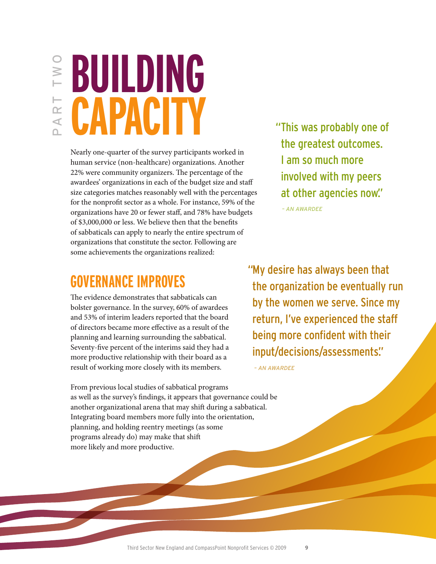# PART two I W I

# **BUILDING CAPACITY**

Nearly one-quarter of the survey participants worked in human service (non-healthcare) organizations. Another 22% were community organizers. The percentage of the awardees' organizations in each of the budget size and staff size categories matches reasonably well with the percentages for the nonprofit sector as a whole. For instance, 59% of the organizations have 20 or fewer staff, and 78% have budgets of \$3,000,000 or less. We believe then that the benefits of sabbaticals can apply to nearly the entire spectrum of organizations that constitute the sector. Following are some achievements the organizations realized:

### "This was probably one of the greatest outcomes. I am so much more involved with my peers at other agencies now."

*– An Awardee*

### **Governance Improves**

The evidence demonstrates that sabbaticals can bolster governance. In the survey, 60% of awardees and 53% of interim leaders reported that the board of directors became more effective as a result of the planning and learning surrounding the sabbatical. Seventy-five percent of the interims said they had a more productive relationship with their board as a result of working more closely with its members.

"My desire has always been that the organization be eventually run by the women we serve. Since my return, I've experienced the staff being more confident with their input/decisions/assessments."

*– An Awardee*

From previous local studies of sabbatical programs as well as the survey's findings, it appears that governance could be another organizational arena that may shift during a sabbatical. Integrating board members more fully into the orientation, planning, and holding reentry meetings (as some programs already do) may make that shift more likely and more productive.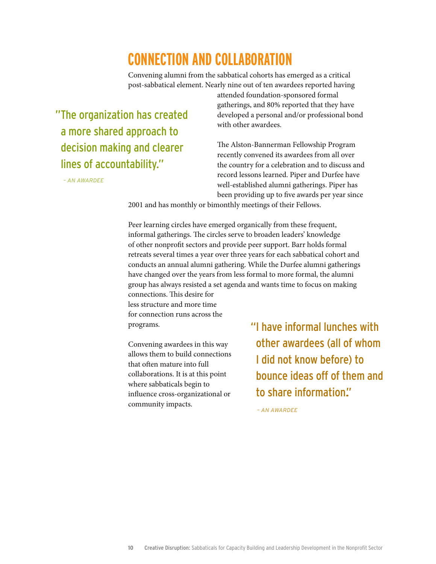### **Connection and Collaboration**

Convening alumni from the sabbatical cohorts has emerged as a critical post-sabbatical element. Nearly nine out of ten awardees reported having

"The organization has created a more shared approach to decision making and clearer lines of accountability."

 *– An Awardee*

attended foundation-sponsored formal gatherings, and 80% reported that they have developed a personal and/or professional bond with other awardees.

The Alston-Bannerman Fellowship Program recently convened its awardees from all over the country for a celebration and to discuss and record lessons learned. Piper and Durfee have well-established alumni gatherings. Piper has been providing up to five awards per year since

2001 and has monthly or bimonthly meetings of their Fellows.

Peer learning circles have emerged organically from these frequent, informal gatherings. The circles serve to broaden leaders' knowledge of other nonprofit sectors and provide peer support. Barr holds formal retreats several times a year over three years for each sabbatical cohort and conducts an annual alumni gathering. While the Durfee alumni gatherings have changed over the years from less formal to more formal, the alumni group has always resisted a set agenda and wants time to focus on making

connections. This desire for less structure and more time for connection runs across the programs.

Convening awardees in this way allows them to build connections that often mature into full collaborations. It is at this point where sabbaticals begin to influence cross-organizational or community impacts.

"I have informal lunches with other awardees (all of whom I did not know before) to bounce ideas off of them and to share information."

*– An Awardee*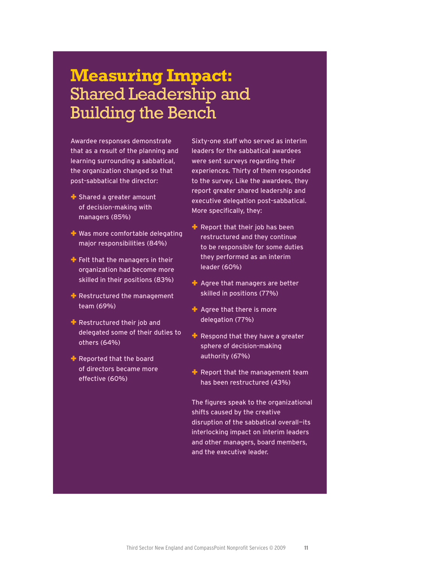### **Measuring Impact:** Shared Leadership and Building the Bench

Awardee responses demonstrate that as a result of the planning and learning surrounding a sabbatical, the organization changed so that post-sabbatical the director:

- + Shared a greater amount of decision-making with managers (85%)
- + Was more comfortable delegating major responsibilities (84%)
- $\div$  Felt that the managers in their organization had become more skilled in their positions (83%)
- $+$  Restructured the management team (69%)
- + Restructured their job and delegated some of their duties to others (64%)
- + Reported that the board of directors became more effective (60%)

Sixty-one staff who served as interim leaders for the sabbatical awardees were sent surveys regarding their experiences. Thirty of them responded to the survey. Like the awardees, they report greater shared leadership and executive delegation post-sabbatical. More specifically, they:

- $+$  Report that their job has been restructured and they continue to be responsible for some duties they performed as an interim leader (60%)
- $\div$  Agree that managers are better skilled in positions (77%)
- + Agree that there is more delegation (77%)
- $+$  Respond that they have a greater sphere of decision-making authority (67%)
- $\div$  Report that the management team has been restructured (43%)

The figures speak to the organizational shifts caused by the creative disruption of the sabbatical overall—its interlocking impact on interim leaders and other managers, board members, and the executive leader.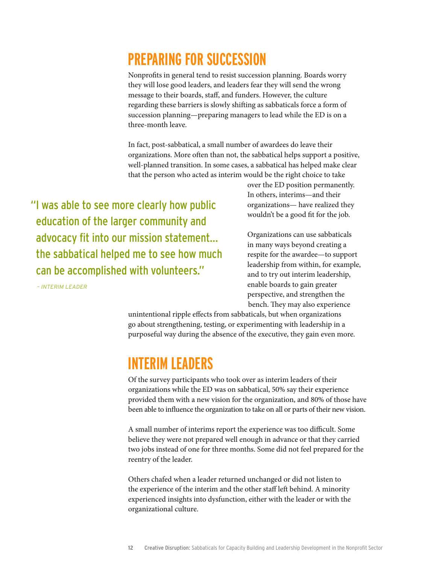### **Preparing for Succession**

Nonprofits in general tend to resist succession planning. Boards worry they will lose good leaders, and leaders fear they will send the wrong message to their boards, staff, and funders. However, the culture regarding these barriers is slowly shifting as sabbaticals force a form of succession planning—preparing managers to lead while the ED is on a three-month leave.

In fact, post-sabbatical, a small number of awardees do leave their organizations. More often than not, the sabbatical helps support a positive, well-planned transition. In some cases, a sabbatical has helped make clear that the person who acted as interim would be the right choice to take

"I was able to see more clearly how public education of the larger community and advocacy fit into our mission statement... the sabbatical helped me to see how much can be accomplished with volunteers."

*– interim leader*

over the ED position permanently. In others, interims—and their organizations— have realized they wouldn't be a good fit for the job.

Organizations can use sabbaticals in many ways beyond creating a respite for the awardee—to support leadership from within, for example, and to try out interim leadership, enable boards to gain greater perspective, and strengthen the bench. They may also experience

unintentional ripple effects from sabbaticals, but when organizations go about strengthening, testing, or experimenting with leadership in a purposeful way during the absence of the executive, they gain even more.

### **Interim Leaders**

Of the survey participants who took over as interim leaders of their organizations while the ED was on sabbatical, 50% say their experience provided them with a new vision for the organization, and 80% of those have been able to influence the organization to take on all or parts of their new vision.

A small number of interims report the experience was too difficult. Some believe they were not prepared well enough in advance or that they carried two jobs instead of one for three months. Some did not feel prepared for the reentry of the leader.

Others chafed when a leader returned unchanged or did not listen to the experience of the interim and the other staff left behind. A minority experienced insights into dysfunction, either with the leader or with the organizational culture.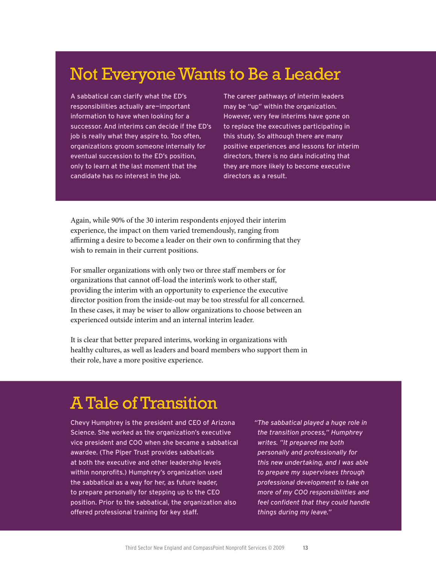### Not Everyone Wants to Be a Leader

A sabbatical can clarify what the ED's responsibilities actually are—important information to have when looking for a successor. And interims can decide if the ED's job is really what they aspire to. Too often, organizations groom someone internally for eventual succession to the ED's position, only to learn at the last moment that the candidate has no interest in the job.

The career pathways of interim leaders may be "up" within the organization. However, very few interims have gone on to replace the executives participating in this study. So although there are many positive experiences and lessons for interim directors, there is no data indicating that they are more likely to become executive directors as a result.

Again, while 90% of the 30 interim respondents enjoyed their interim experience, the impact on them varied tremendously, ranging from affirming a desire to become a leader on their own to confirming that they wish to remain in their current positions.

For smaller organizations with only two or three staff members or for organizations that cannot off-load the interim's work to other staff, providing the interim with an opportunity to experience the executive director position from the inside-out may be too stressful for all concerned. In these cases, it may be wiser to allow organizations to choose between an experienced outside interim and an internal interim leader.

It is clear that better prepared interims, working in organizations with healthy cultures, as well as leaders and board members who support them in their role, have a more positive experience.

### A Tale of Transition

Chevy Humphrey is the president and CEO of Arizona Science. She worked as the organization's executive vice president and COO when she became a sabbatical awardee. (The Piper Trust provides sabbaticals at both the executive and other leadership levels within nonprofits.) Humphrey's organization used the sabbatical as a way for her, as future leader, to prepare personally for stepping up to the CEO position. Prior to the sabbatical, the organization also offered professional training for key staff.

*"The sabbatical played a huge role in the transition process," Humphrey writes. "It prepared me both personally and professionally for this new undertaking, and I was able to prepare my supervisees through professional development to take on more of my COO responsibilities and feel confident that they could handle things during my leave."*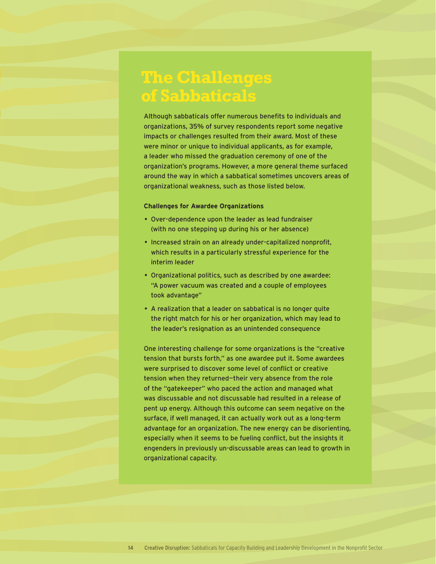### **The Challenges of Sabbaticals**

Although sabbaticals offer numerous benefits to individuals and organizations, 35% of survey respondents report some negative impacts or challenges resulted from their award. Most of these were minor or unique to individual applicants, as for example, a leader who missed the graduation ceremony of one of the organization's programs. However, a more general theme surfaced around the way in which a sabbatical sometimes uncovers areas of organizational weakness, such as those listed below.

#### **Challenges for Awardee Organizations**

- Over-dependence upon the leader as lead fundraiser (with no one stepping up during his or her absence)
- Increased strain on an already under-capitalized nonprofit, which results in a particularly stressful experience for the interim leader
- Organizational politics, such as described by one awardee: "A power vacuum was created and a couple of employees took advantage"
- A realization that a leader on sabbatical is no longer quite the right match for his or her organization, which may lead to the leader's resignation as an unintended consequence

One interesting challenge for some organizations is the "creative tension that bursts forth," as one awardee put it. Some awardees were surprised to discover some level of conflict or creative tension when they returned—their very absence from the role of the "gatekeeper" who paced the action and managed what was discussable and not discussable had resulted in a release of pent up energy. Although this outcome can seem negative on the surface, if well managed, it can actually work out as a long-term advantage for an organization. The new energy can be disorienting, especially when it seems to be fueling conflict, but the insights it engenders in previously un-discussable areas can lead to growth in organizational capacity.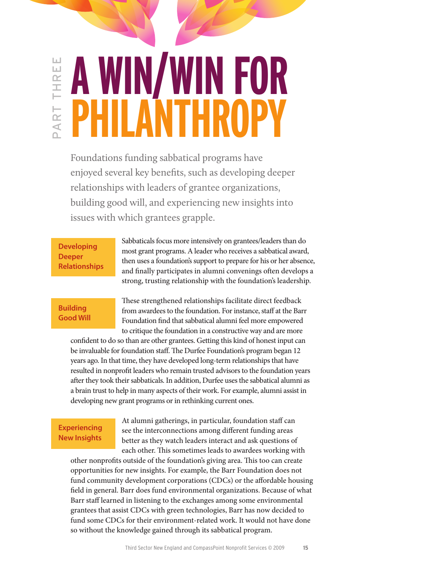#### **A WIN/WIN FOR** Ш PART three  $\lfloor \underline{\ldots} \rfloor$ THRI **PHILANTHROPY** ART

Foundations funding sabbatical programs have enjoyed several key benefits, such as developing deeper relationships with leaders of grantee organizations, building good will, and experiencing new insights into issues with which grantees grapple.

**Developing Deeper Relationships** Sabbaticals focus more intensively on grantees/leaders than do most grant programs. A leader who receives a sabbatical award, then uses a foundation's support to prepare for his or her absence, and finally participates in alumni convenings often develops a strong, trusting relationship with the foundation's leadership.

#### **Building Good Will**

These strengthened relationships facilitate direct feedback from awardees to the foundation. For instance, staff at the Barr Foundation find that sabbatical alumni feel more empowered to critique the foundation in a constructive way and are more

confident to do so than are other grantees. Getting this kind of honest input can be invaluable for foundation staff. The Durfee Foundation's program began 12 years ago. In that time, they have developed long-term relationships that have resulted in nonprofit leaders who remain trusted advisors to the foundation years after they took their sabbaticals. In addition, Durfee uses the sabbatical alumni as a brain trust to help in many aspects of their work. For example, alumni assist in developing new grant programs or in rethinking current ones.

#### **Experiencing New Insights**

At alumni gatherings, in particular, foundation staff can see the interconnections among different funding areas better as they watch leaders interact and ask questions of each other. This sometimes leads to awardees working with

other nonprofits outside of the foundation's giving area. This too can create opportunities for new insights. For example, the Barr Foundation does not fund community development corporations (CDCs) or the affordable housing field in general. Barr does fund environmental organizations. Because of what Barr staff learned in listening to the exchanges among some environmental grantees that assist CDCs with green technologies, Barr has now decided to fund some CDCs for their environment-related work. It would not have done so without the knowledge gained through its sabbatical program.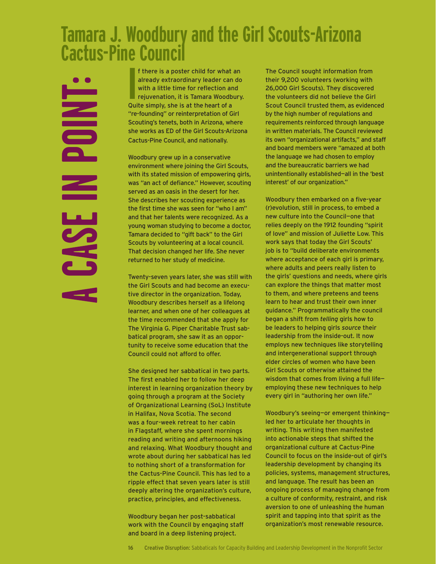### **Tamara J. Woodbury and the Girl Scouts-Arizona Cactus-Pine Council**

**POINT**  $\leq$ CASE

**I** f there is a poster child for what an already extraordinary leader can do with a little time for reflection and rejuvenation, it is Tamara Woodbury Quite simply, she is at the heart of a already extraordinary leader can do with a little time for reflection and rejuvenation, it is Tamara Woodbury. Quite simply, she is at the heart of a "re-founding" or reinterpretation of Girl Scouting's tenets, both in Arizona, where she works as ED of the Girl Scouts-Arizona Cactus-Pine Council, and nationally.

Woodbury grew up in a conservative environment where joining the Girl Scouts, with its stated mission of empowering girls, was "an act of defiance." However, scouting served as an oasis in the desert for her. She describes her scouting experience as the first time she was seen for "who I am" and that her talents were recognized. As a young woman studying to become a doctor, Tamara decided to "gift back" to the Girl Scouts by volunteering at a local council. That decision changed her life. She never returned to her study of medicine.

Twenty-seven years later, she was still with the Girl Scouts and had become an executive director in the organization. Today, Woodbury describes herself as a lifelong learner, and when one of her colleagues at the time recommended that she apply for The Virginia G. Piper Charitable Trust sabbatical program, she saw it as an opportunity to receive some education that the Council could not afford to offer.

She designed her sabbatical in two parts. The first enabled her to follow her deep interest in learning organization theory by going through a program at the Society of Organizational Learning (SoL) Institute in Halifax, Nova Scotia. The second was a four-week retreat to her cabin in Flagstaff, where she spent mornings reading and writing and afternoons hiking and relaxing. What Woodbury thought and wrote about during her sabbatical has led to nothing short of a transformation for the Cactus-Pine Council. This has led to a ripple effect that seven years later is still deeply altering the organization's culture, practice, principles, and effectiveness.

Woodbury began her post-sabbatical work with the Council by engaging staff and board in a deep listening project.

The Council sought information from their 9,200 volunteers (working with 26,000 Girl Scouts). They discovered the volunteers did not believe the Girl Scout Council trusted them, as evidenced by the high number of regulations and requirements reinforced through language in written materials. The Council reviewed its own "organizational artifacts," and staff and board members were "amazed at both the language we had chosen to employ and the bureaucratic barriers we had unintentionally established—all in the 'best interest' of our organization."

Woodbury then embarked on a five-year (r)evolution, still in process, to embed a new culture into the Council—one that relies deeply on the 1912 founding "spirit of love" and mission of Juliette Low. This work says that today the Girl Scouts' job is to "build deliberate environments where acceptance of each girl is primary, where adults and peers really listen to the girls' questions and needs, where girls can explore the things that matter most to them, and where preteens and teens learn to hear and trust their own inner guidance." Programmatically the council began a shift from *telling* girls how to be leaders to helping girls *source* their leadership from the inside-out. It now employs new techniques like storytelling and intergenerational support through elder circles of women who have been Girl Scouts or otherwise attained the wisdom that comes from living a full life employing these new techniques to help every girl in "authoring her own life."

Woodbury's seeing—or emergent thinking led her to articulate her thoughts in writing. This writing then manifested into actionable steps that shifted the organizational culture at Cactus-Pine Council to focus on the inside-out of girl's leadership development by changing its policies, systems, management structures, and language. The result has been an ongoing process of managing change from a culture of conformity, restraint, and risk aversion to one of unleashing the human spirit and tapping into that spirit as the organization's most renewable resource.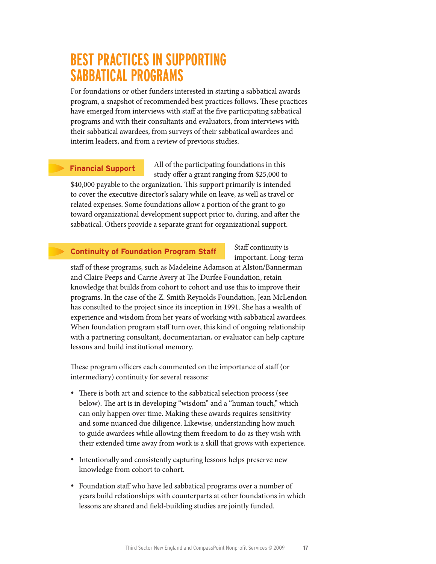### **Best Practices in Supporting Sabbatical Programs**

For foundations or other funders interested in starting a sabbatical awards program, a snapshot of recommended best practices follows. These practices have emerged from interviews with staff at the five participating sabbatical programs and with their consultants and evaluators, from interviews with their sabbatical awardees, from surveys of their sabbatical awardees and interim leaders, and from a review of previous studies.

#### **Financial Support**

All of the participating foundations in this study offer a grant ranging from \$25,000 to

\$40,000 payable to the organization. This support primarily is intended to cover the executive director's salary while on leave, as well as travel or related expenses. Some foundations allow a portion of the grant to go toward organizational development support prior to, during, and after the sabbatical. Others provide a separate grant for organizational support.

#### **Continuity of Foundation Program Staff**

Staff continuity is important. Long-term

staff of these programs, such as Madeleine Adamson at Alston/Bannerman and Claire Peeps and Carrie Avery at The Durfee Foundation, retain knowledge that builds from cohort to cohort and use this to improve their programs. In the case of the Z. Smith Reynolds Foundation, Jean McLendon has consulted to the project since its inception in 1991. She has a wealth of experience and wisdom from her years of working with sabbatical awardees. When foundation program staff turn over, this kind of ongoing relationship with a partnering consultant, documentarian, or evaluator can help capture lessons and build institutional memory.

These program officers each commented on the importance of staff (or intermediary) continuity for several reasons:

- There is both art and science to the sabbatical selection process (see below). The art is in developing "wisdom" and a "human touch," which can only happen over time. Making these awards requires sensitivity and some nuanced due diligence. Likewise, understanding how much to guide awardees while allowing them freedom to do as they wish with their extended time away from work is a skill that grows with experience.
- Intentionally and consistently capturing lessons helps preserve new knowledge from cohort to cohort.
- Foundation staff who have led sabbatical programs over a number of years build relationships with counterparts at other foundations in which lessons are shared and field-building studies are jointly funded.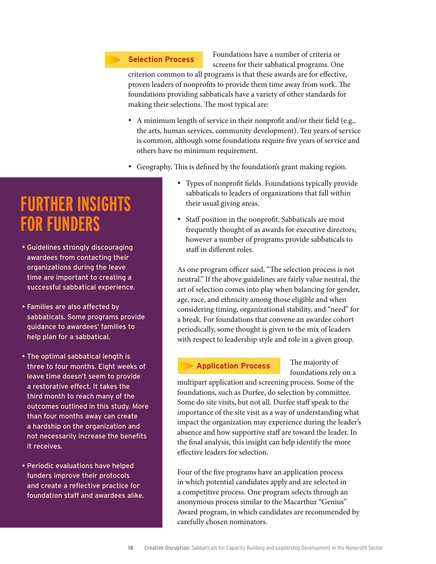#### **Selection Process**

Foundations have a number of criteria or screens for their sabbatical programs. One

criterion common to all programs is that these awards are for effective, proven leaders of nonprofits to provide them time away from work. The foundations providing sabbaticals have a variety of other standards for making their selections. The most typical are:

- A minimum length of service in their nonprofit and/or their field (e.g., the arts, human services, community development). Ten years of service is common, although some foundations require five years of service and others have no minimum requirement.
- Geography. This is defined by the foundation's grant making region.
	- • Types of nonprofit fields. Foundations typically provide sabbaticals to leaders of organizations that fall within their usual giving areas.
	- Staff position in the nonprofit. Sabbaticals are most frequently thought of as awards for executive directors; however a number of programs provide sabbaticals to staff in different roles.

As one program officer said, "The selection process is not neutral." If the above guidelines are fairly value neutral, the art of selection comes into play when balancing for gender, age, race, and ethnicity among those eligible and when considering timing, organizational stability, and "need" for a break. For foundations that convene an awardee cohort periodically, some thought is given to the mix of leaders with respect to leadership style and role in a given group.

#### **Application Process**

The majority of foundations rely on a

multipart application and screening process. Some of the foundations, such as Durfee, do selection by committee. Some do site visits, but not all. Durfee staff speak to the importance of the site visit as a way of understanding what impact the organization may experience during the leader's absence and how supportive staff are toward the leader. In the final analysis, this insight can help identify the more effective leaders for selection.

Four of the five programs have an application process in which potential candidates apply and are selected in a competitive process. One program selects through an anonymous process similar to the Macarthur "Genius" Award program, in which candidates are recommended by carefully chosen nominators.

### **Further Insights for Funders**

- Guidelines strongly discouraging awardees from contacting their organizations during the leave time are important to creating a successful sabbatical experience.
- Families are also affected by sabbaticals. Some programs provide guidance to awardees' families to help plan for a sabbatical.
- The optimal sabbatical length is three to four months. Eight weeks of leave time doesn't seem to provide a restorative effect. It takes the third month to reach many of the outcomes outlined in this study. More than four months away can create a hardship on the organization and not necessarily increase the benefits it receives.
- Periodic evaluations have helped funders improve their protocols and create a reflective practice for foundation staff and awardees alike.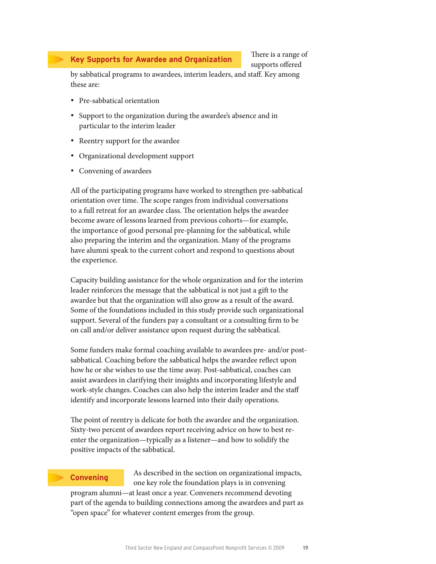#### **Key Supports for Awardee and Organization**

There is a range of supports offered

by sabbatical programs to awardees, interim leaders, and staff. Key among these are:

- • Pre-sabbatical orientation
- Support to the organization during the awardee's absence and in particular to the interim leader
- • Reentry support for the awardee
- • Organizational development support
- Convening of awardees

All of the participating programs have worked to strengthen pre-sabbatical orientation over time. The scope ranges from individual conversations to a full retreat for an awardee class. The orientation helps the awardee become aware of lessons learned from previous cohorts—for example, the importance of good personal pre-planning for the sabbatical, while also preparing the interim and the organization. Many of the programs have alumni speak to the current cohort and respond to questions about the experience.

Capacity building assistance for the whole organization and for the interim leader reinforces the message that the sabbatical is not just a gift to the awardee but that the organization will also grow as a result of the award. Some of the foundations included in this study provide such organizational support. Several of the funders pay a consultant or a consulting firm to be on call and/or deliver assistance upon request during the sabbatical.

Some funders make formal coaching available to awardees pre- and/or postsabbatical. Coaching before the sabbatical helps the awardee reflect upon how he or she wishes to use the time away. Post-sabbatical, coaches can assist awardees in clarifying their insights and incorporating lifestyle and work-style changes. Coaches can also help the interim leader and the staff identify and incorporate lessons learned into their daily operations.

The point of reentry is delicate for both the awardee and the organization. Sixty-two percent of awardees report receiving advice on how to best reenter the organization—typically as a listener—and how to solidify the positive impacts of the sabbatical.

#### **Convening**

As described in the section on organizational impacts, one key role the foundation plays is in convening program alumni—at least once a year. Conveners recommend devoting part of the agenda to building connections among the awardees and part as "open space" for whatever content emerges from the group.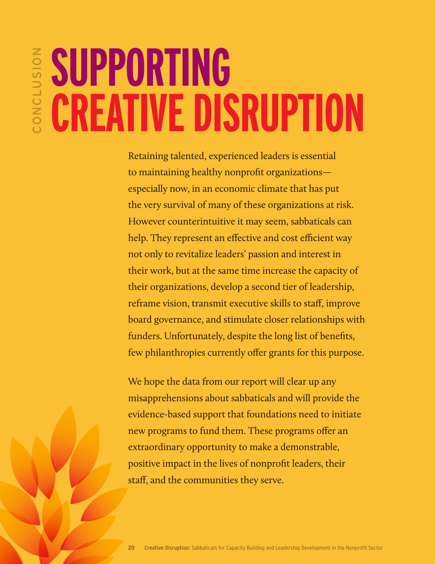# ONCLUSION clusion **Supporting Creative Disruption**

Retaining talented, experienced leaders is essential to maintaining healthy nonprofit organizations especially now, in an economic climate that has put the very survival of many of these organizations at risk. However counterintuitive it may seem, sabbaticals can help. They represent an effective and cost efficient way not only to revitalize leaders' passion and interest in their work, but at the same time increase the capacity of their organizations, develop a second tier of leadership, reframe vision, transmit executive skills to staff, improve board governance, and stimulate closer relationships with funders. Unfortunately, despite the long list of benefits, few philanthropies currently offer grants for this purpose.

We hope the data from our report will clear up any misapprehensions about sabbaticals and will provide the evidence-based support that foundations need to initiate new programs to fund them. These programs offer an extraordinary opportunity to make a demonstrable, positive impact in the lives of nonprofit leaders, their staff, and the communities they serve.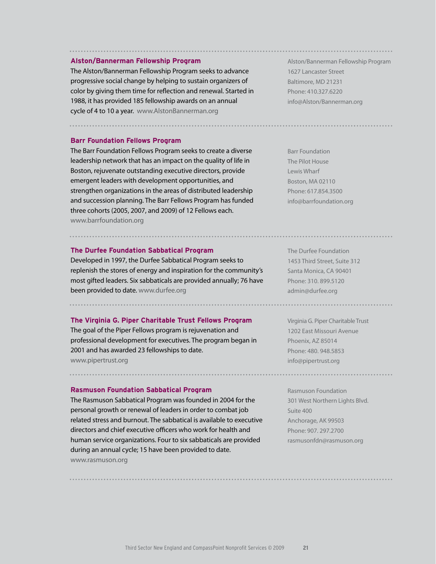#### **Alston/Bannerman Fellowship Program**

The Alston/Bannerman Fellowship Program seeks to advance progressive social change by helping to sustain organizers of color by giving them time for reflection and renewal. Started in 1988, it has provided 185 fellowship awards on an annual cycle of 4 to 10 a year. www.AlstonBannerman.org

**Barr Foundation Fellows Program**

The Barr Foundation Fellows Program seeks to create a diverse leadership network that has an impact on the quality of life in Boston, rejuvenate outstanding executive directors, provide emergent leaders with development opportunities, and strengthen organizations in the areas of distributed leadership and succession planning. The Barr Fellows Program has funded three cohorts (2005, 2007, and 2009) of 12 Fellows each. www.barrfoundation.org

#### **The Durfee Foundation Sabbatical Program**

Developed in 1997, the Durfee Sabbatical Program seeks to replenish the stores of energy and inspiration for the community's most gifted leaders. Six sabbaticals are provided annually; 76 have been provided to date. www.durfee.org

**The Virginia G. Piper Charitable Trust Fellows Program**

The goal of the Piper Fellows program is rejuvenation and professional development for executives. The program began in 2001 and has awarded 23 fellowships to date. www.pipertrust.org

**Rasmuson Foundation Sabbatical Program**

The Rasmuson Sabbatical Program was founded in 2004 for the personal growth or renewal of leaders in order to combat job related stress and burnout. The sabbatical is available to executive directors and chief executive officers who work for health and human service organizations. Four to six sabbaticals are provided during an annual cycle; 15 have been provided to date. www.rasmuson.org

Alston/Bannerman Fellowship Program 1627 Lancaster Street Baltimore, MD 21231 Phone: 410.327.6220 info@Alston/Bannerman.org

Barr Foundation The Pilot House Lewis Wharf Boston, MA 02110 Phone: 617.854.3500 info@barrfoundation.org

The Durfee Foundation 1453 Third Street, Suite 312 Santa Monica, CA 90401 Phone: 310. 899.5120 admin@durfee.org

...........................

Virginia G. Piper Charitable Trust 1202 East Missouri Avenue Phoenix, AZ 85014 Phone: 480. 948.5853 info@pipertrust.org

Rasmuson Foundation 301 West Northern Lights Blvd. Suite 400 Anchorage, AK 99503 Phone: 907. 297.2700 rasmusonfdn@rasmuson.org